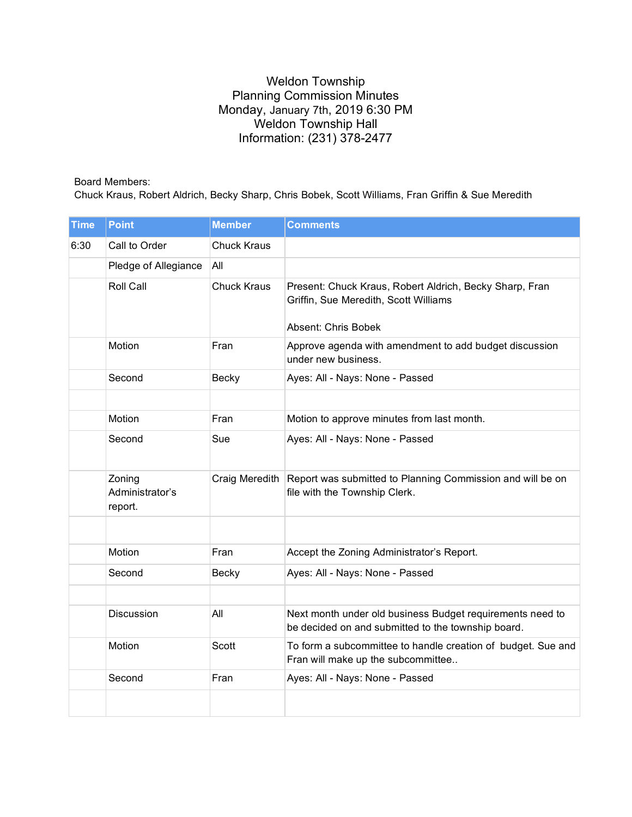## Weldon Township Planning Commission Minutes Monday, January 7th, 2019 6:30 PM Weldon Township Hall Information: (231) 378-2477

## Board Members:

Chuck Kraus, Robert Aldrich, Becky Sharp, Chris Bobek, Scott Williams, Fran Griffin & Sue Meredith

| <b>Time</b> | <b>Point</b>                         | <b>Member</b>      | <b>Comments</b>                                                                                                                |
|-------------|--------------------------------------|--------------------|--------------------------------------------------------------------------------------------------------------------------------|
| 6:30        | Call to Order                        | <b>Chuck Kraus</b> |                                                                                                                                |
|             | Pledge of Allegiance                 | All                |                                                                                                                                |
|             | Roll Call                            | <b>Chuck Kraus</b> | Present: Chuck Kraus, Robert Aldrich, Becky Sharp, Fran<br>Griffin, Sue Meredith, Scott Williams<br><b>Absent: Chris Bobek</b> |
|             | Motion                               | Fran               | Approve agenda with amendment to add budget discussion<br>under new business.                                                  |
|             | Second                               | Becky              | Ayes: All - Nays: None - Passed                                                                                                |
|             |                                      |                    |                                                                                                                                |
|             | Motion                               | Fran               | Motion to approve minutes from last month.                                                                                     |
|             | Second                               | Sue                | Ayes: All - Nays: None - Passed                                                                                                |
|             | Zoning<br>Administrator's<br>report. | Craig Meredith     | Report was submitted to Planning Commission and will be on<br>file with the Township Clerk.                                    |
|             | Motion                               | Fran               | Accept the Zoning Administrator's Report.                                                                                      |
|             | Second                               | <b>Becky</b>       | Ayes: All - Nays: None - Passed                                                                                                |
|             |                                      |                    |                                                                                                                                |
|             | Discussion                           | All                | Next month under old business Budget requirements need to<br>be decided on and submitted to the township board.                |
|             | Motion                               | <b>Scott</b>       | To form a subcommittee to handle creation of budget. Sue and<br>Fran will make up the subcommittee                             |
|             | Second                               | Fran               | Ayes: All - Nays: None - Passed                                                                                                |
|             |                                      |                    |                                                                                                                                |